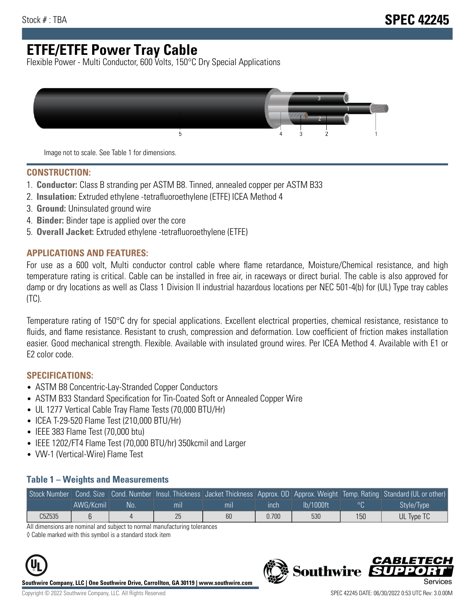# **ETFE/ETFE Power Tray Cable**

Flexible Power - Multi Conductor, 600 Volts, 150°C Dry Special Applications



Image not to scale. See Table 1 for dimensions.

#### **CONSTRUCTION:**

- 1. **Conductor:** Class B stranding per ASTM B8. Tinned, annealed copper per ASTM B33
- 2. **Insulation:** Extruded ethylene -tetrafluoroethylene (ETFE) ICEA Method 4
- 3. **Ground:** Uninsulated ground wire
- 4. **Binder:** Binder tape is applied over the core
- 5. **Overall Jacket:** Extruded ethylene -tetrafluoroethylene (ETFE)

### **APPLICATIONS AND FEATURES:**

For use as a 600 volt, Multi conductor control cable where flame retardance, Moisture/Chemical resistance, and high temperature rating is critical. Cable can be installed in free air, in raceways or direct burial. The cable is also approved for damp or dry locations as well as Class 1 Division II industrial hazardous locations per NEC 501-4(b) for (UL) Type tray cables (TC).

Temperature rating of 150°C dry for special applications. Excellent electrical properties, chemical resistance, resistance to fluids, and flame resistance. Resistant to crush, compression and deformation. Low coefficient of friction makes installation easier. Good mechanical strength. Flexible. Available with insulated ground wires. Per ICEA Method 4. Available with E1 or E2 color code.

### **SPECIFICATIONS:**

- ASTM B8 Concentric-Lay-Stranded Copper Conductors
- ASTM B33 Standard Specification for Tin-Coated Soft or Annealed Copper Wire
- UL 1277 Vertical Cable Tray Flame Tests (70,000 BTU/Hr)
- ICEA T-29-520 Flame Test (210,000 BTU/Hr)
- IEEE 383 Flame Test (70,000 btu)
- IEEE 1202/FT4 Flame Test (70,000 BTU/hr) 350kcmil and Larger
- VW-1 (Vertical-Wire) Flame Test

#### **Table 1 – Weights and Measurements**

| Stock Number |           |     |     |     |       |           |     | Cond. Size Cond. Number Insul. Thickness Jacket Thickness Approx. OD Approx. Weight Temp. Rating Standard (UL or other) |
|--------------|-----------|-----|-----|-----|-------|-----------|-----|-------------------------------------------------------------------------------------------------------------------------|
|              | AWG/Kcmil | No. | mıl | mil | ınch  | lb/1000ft | ്റ  | Style/Type <sup>1</sup>                                                                                                 |
| C5Z535       |           |     | 25  | 60  | 0.700 | 530       | 150 | UL Type TC                                                                                                              |

All dimensions are nominal and subject to normal manufacturing tolerances

◊ Cable marked with this symbol is a standard stock item



**Southwire Company, LLC | One Southwire Drive, Carrollton, GA 30119 | www.southwire.com**

CARLET